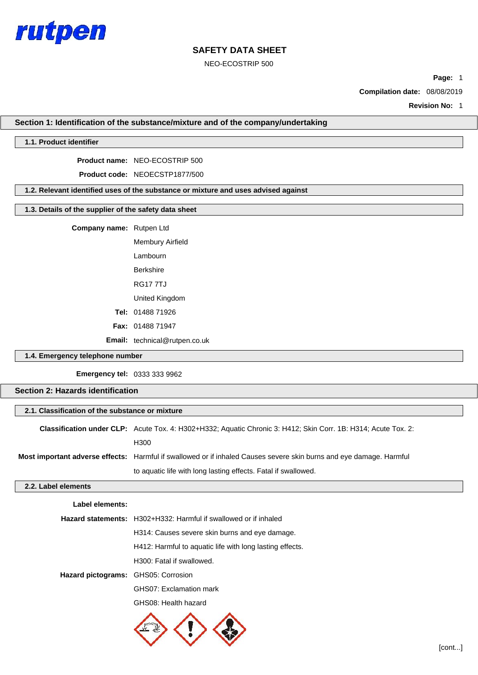

NEO-ECOSTRIP 500

**Page:** 1

**Compilation date:** 08/08/2019

**Revision No:** 1

# **Section 1: Identification of the substance/mixture and of the company/undertaking**

# **1.1. Product identifier**

**Product name:** NEO-ECOSTRIP 500

**Product code:** NEOECSTP1877/500

### **1.2. Relevant identified uses of the substance or mixture and uses advised against**

# **1.3. Details of the supplier of the safety data sheet**

**Company name:** Rutpen Ltd

Membury Airfield Lambourn Berkshire RG17 7TJ United Kingdom **Tel:** 01488 71926 **Fax:** 01488 71947 **Email:** technical@rutpen.co.uk

## **1.4. Emergency telephone number**

**Emergency tel:** 0333 333 9962

# **Section 2: Hazards identification**

|                     | 2.1. Classification of the substance or mixture                                                                       |  |  |  |  |
|---------------------|-----------------------------------------------------------------------------------------------------------------------|--|--|--|--|
|                     | <b>Classification under CLP:</b> Acute Tox. 4: H302+H332; Aquatic Chronic 3: H412; Skin Corr. 1B: H314; Acute Tox. 2: |  |  |  |  |
|                     | H <sub>300</sub>                                                                                                      |  |  |  |  |
|                     | Most important adverse effects: Harmful if swallowed or if inhaled Causes severe skin burns and eye damage. Harmful   |  |  |  |  |
|                     | to aquatic life with long lasting effects. Fatal if swallowed.                                                        |  |  |  |  |
| 2.2. Label elements |                                                                                                                       |  |  |  |  |
| Label elements:     |                                                                                                                       |  |  |  |  |
|                     | <b>Hazard statements:</b> H302+H332: Harmful if swallowed or if inhaled                                               |  |  |  |  |
|                     | H314: Causes severe skin burns and eye damage.                                                                        |  |  |  |  |
|                     | H412: Harmful to aquatic life with long lasting effects.                                                              |  |  |  |  |

H300: Fatal if swallowed.

**Hazard pictograms:** GHS05: Corrosion

GHS07: Exclamation mark

GHS08: Health hazard

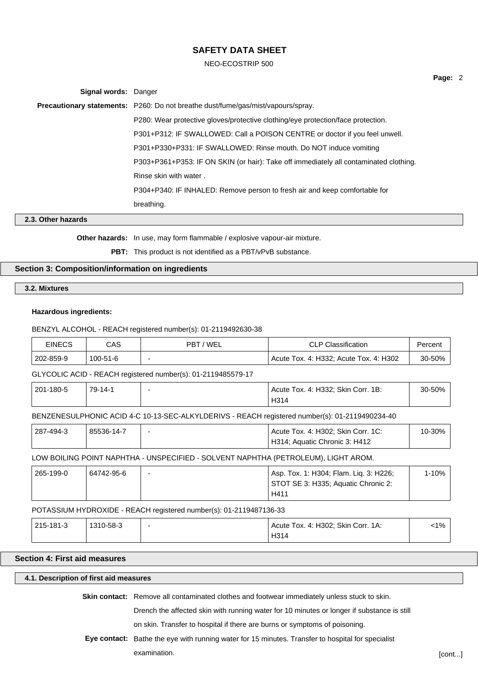NEO-ECOSTRIP 500

| <b>Signal words: Danger</b> |                                                                                         |
|-----------------------------|-----------------------------------------------------------------------------------------|
|                             | <b>Precautionary statements:</b> P260: Do not breathe dust/fume/gas/mist/vapours/spray. |
|                             | P280: Wear protective gloves/protective clothing/eye protection/face protection.        |
|                             | P301+P312: IF SWALLOWED: Call a POISON CENTRE or doctor if you feel unwell.             |
|                             | P301+P330+P331: IF SWALLOWED: Rinse mouth. Do NOT induce vomiting                       |
|                             | P303+P361+P353: IF ON SKIN (or hair): Take off immediately all contaminated clothing.   |
|                             | Rinse skin with water.                                                                  |
|                             | P304+P340: IF INHALED: Remove person to fresh air and keep comfortable for              |
|                             | breathing.                                                                              |
|                             |                                                                                         |

# **2.3. Other hazards**

**Other hazards:** In use, may form flammable / explosive vapour-air mixture.

**PBT:** This product is not identified as a PBT/vPvB substance.

# **Section 3: Composition/information on ingredients**

**3.2. Mixtures**

### **Hazardous ingredients:**

### BENZYL ALCOHOL - REACH registered number(s): 01-2119492630-38

| EINECS    | CAS      | 'WEL<br>PBT | <b>CLP Classification</b>                            | ≌ercent |
|-----------|----------|-------------|------------------------------------------------------|---------|
| 202-859-9 | 100-51-6 |             | 4: H332:<br>. 4: H302<br>Acute Tox.<br>Acute<br>Tox. | 30-50%  |

### GLYCOLIC ACID - REACH registered number(s): 01-2119485579-17

| 201-180-5 | $79 - 14 - 1$ | Acute Tox. 4: H332; Skin Corr. 1B: | 30-50% |  |
|-----------|---------------|------------------------------------|--------|--|
|           |               | H314                               |        |  |

# BENZENESULPHONIC ACID 4-C 10-13-SEC-ALKYLDERIVS - REACH registered number(s): 01-2119490234-40

| 287-494-3 | 85536-14-7 | Acute Tox. 4: H302; Skin Corr. 1C: | 10-30% |  |
|-----------|------------|------------------------------------|--------|--|
|           |            | H314: Aquatic Chronic 3: H412      |        |  |

### LOW BOILING POINT NAPHTHA - UNSPECIFIED - SOLVENT NAPHTHA (PETROLEUM), LIGHT AROM.

| 265-199-0 | 64742-95-6 | Asp. Tox. 1: H304; Flam. Liq. 3: H226; | l-10% |
|-----------|------------|----------------------------------------|-------|
|           |            | STOT SE 3: H335; Aquatic Chronic 2:    |       |
|           |            | H411                                   |       |

### POTASSIUM HYDROXIDE - REACH registered number(s): 01-2119487136-33

| 215-181-3 | 1310-58-3 | . Тох. 4: H302; Skin<br>Corr. 1A:<br>Acute<br>H <sub>314</sub> | 1% |
|-----------|-----------|----------------------------------------------------------------|----|
|           |           | $\sim$ $\sim$ $\sim$ $\sim$ $\sim$ $\sim$ $\sim$               |    |

# **Section 4: First aid measures**

# **4.1. Description of first aid measures**

**Skin contact:** Remove all contaminated clothes and footwear immediately unless stuck to skin.

Drench the affected skin with running water for 10 minutes or longer if substance is still

on skin. Transfer to hospital if there are burns or symptoms of poisoning.

**Eye contact:** Bathe the eye with running water for 15 minutes. Transfer to hospital for specialist examination. [cont...]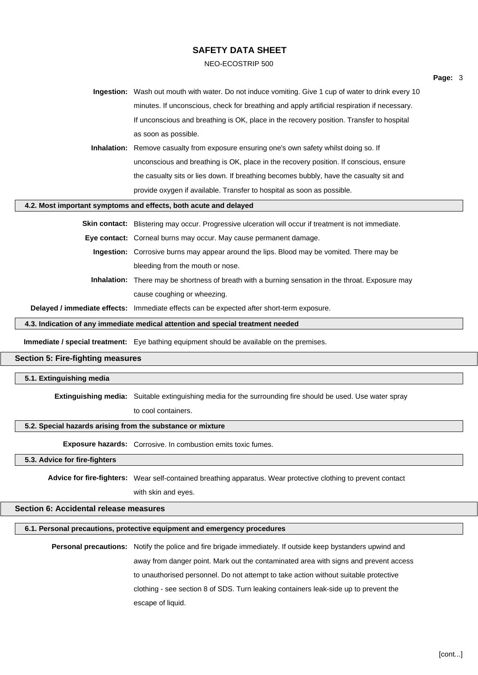#### NEO-ECOSTRIP 500

| Ingestion: Wash out mouth with water. Do not induce vomiting. Give 1 cup of water to drink every 10 |
|-----------------------------------------------------------------------------------------------------|
| minutes. If unconscious, check for breathing and apply artificial respiration if necessary.         |
| If unconscious and breathing is OK, place in the recovery position. Transfer to hospital            |
| as soon as possible.                                                                                |

**Inhalation:** Remove casualty from exposure ensuring one's own safety whilst doing so. If unconscious and breathing is OK, place in the recovery position. If conscious, ensure the casualty sits or lies down. If breathing becomes bubbly, have the casualty sit and provide oxygen if available. Transfer to hospital as soon as possible.

### **4.2. Most important symptoms and effects, both acute and delayed**

**Skin contact:** Blistering may occur. Progressive ulceration will occur if treatment is not immediate.

**Eye contact:** Corneal burns may occur. May cause permanent damage.

**Ingestion:** Corrosive burns may appear around the lips. Blood may be vomited. There may be bleeding from the mouth or nose.

**Inhalation:** There may be shortness of breath with a burning sensation in the throat. Exposure may cause coughing or wheezing.

**Delayed / immediate effects:** Immediate effects can be expected after short-term exposure.

**4.3. Indication of any immediate medical attention and special treatment needed**

**Immediate / special treatment:** Eye bathing equipment should be available on the premises.

# **Section 5: Fire-fighting measures**

# **5.1. Extinguishing media**

**Extinguishing media:** Suitable extinguishing media for the surrounding fire should be used. Use water spray

to cool containers.

### **5.2. Special hazards arising from the substance or mixture**

**Exposure hazards:** Corrosive. In combustion emits toxic fumes.

### **5.3. Advice for fire-fighters**

**Advice for fire-fighters:** Wear self-contained breathing apparatus. Wear protective clothing to prevent contact

with skin and eyes.

# **Section 6: Accidental release measures**

# **6.1. Personal precautions, protective equipment and emergency procedures**

**Personal precautions:** Notify the police and fire brigade immediately. If outside keep bystanders upwind and away from danger point. Mark out the contaminated area with signs and prevent access to unauthorised personnel. Do not attempt to take action without suitable protective clothing - see section 8 of SDS. Turn leaking containers leak-side up to prevent the escape of liquid.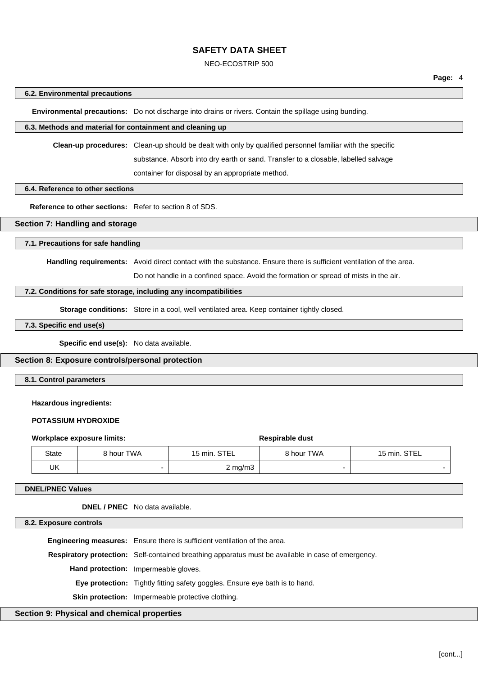#### NEO-ECOSTRIP 500

#### **6.2. Environmental precautions**

**Environmental precautions:** Do not discharge into drains or rivers. Contain the spillage using bunding.

# **6.3. Methods and material for containment and cleaning up**

**Clean-up procedures:** Clean-up should be dealt with only by qualified personnel familiar with the specific

substance. Absorb into dry earth or sand. Transfer to a closable, labelled salvage

container for disposal by an appropriate method.

### **6.4. Reference to other sections**

**Reference to other sections:** Refer to section 8 of SDS.

# **Section 7: Handling and storage**

### **7.1. Precautions for safe handling**

**Handling requirements:** Avoid direct contact with the substance. Ensure there is sufficient ventilation of the area.

Do not handle in a confined space. Avoid the formation or spread of mists in the air.

#### **7.2. Conditions for safe storage, including any incompatibilities**

**Storage conditions:** Store in a cool, well ventilated area. Keep container tightly closed.

# **7.3. Specific end use(s)**

**Specific end use(s):** No data available.

#### **Section 8: Exposure controls/personal protection**

#### **8.1. Control parameters**

#### **Hazardous ingredients:**

#### **POTASSIUM HYDROXIDE**

|              | Workplace exposure limits: | Respirable dust  |            |              |
|--------------|----------------------------|------------------|------------|--------------|
| <b>State</b> | 8 hour TWA                 | 15 min. STEL     | 8 hour TWA | 15 min. STEL |
| UK           |                            | $2 \text{ mg/m}$ |            |              |

#### **DNEL/PNEC Values**

**DNEL / PNEC** No data available.

**8.2. Exposure controls**

**Engineering measures:** Ensure there is sufficient ventilation of the area. **Respiratory protection:** Self-contained breathing apparatus must be available in case of emergency. **Hand protection:** Impermeable gloves. **Eye protection:** Tightly fitting safety goggles. Ensure eye bath is to hand.

**Skin protection:** Impermeable protective clothing.

### **Section 9: Physical and chemical properties**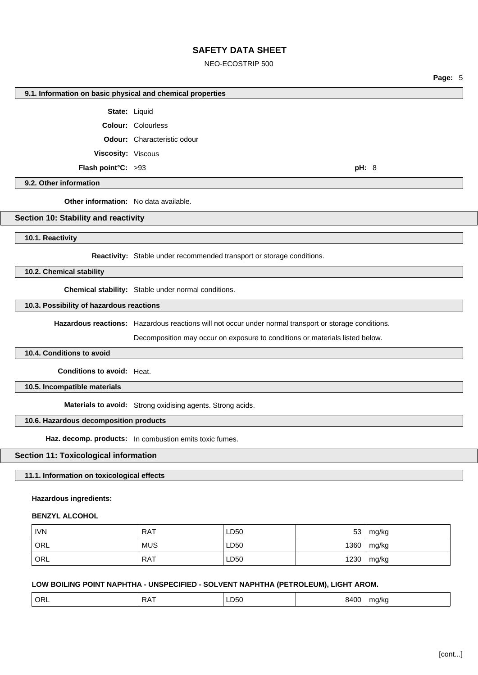NEO-ECOSTRIP 500

**9.1. Information on basic physical and chemical properties State:** Liquid **Colour:** Colourless **Odour:** Characteristic odour **Viscosity:** Viscous **Flash point°C:** >93 **pH:** 8 **9.2. Other information Other information:** No data available. **Section 10: Stability and reactivity 10.1. Reactivity Reactivity:** Stable under recommended transport or storage conditions. **10.2. Chemical stability**

**Chemical stability:** Stable under normal conditions.

**10.3. Possibility of hazardous reactions**

**Hazardous reactions:** Hazardous reactions will not occur under normal transport or storage conditions.

Decomposition may occur on exposure to conditions or materials listed below.

**10.4. Conditions to avoid**

**Conditions to avoid:** Heat.

**10.5. Incompatible materials**

**Materials to avoid:** Strong oxidising agents. Strong acids.

# **10.6. Hazardous decomposition products**

**Haz. decomp. products:** In combustion emits toxic fumes.

# **Section 11: Toxicological information**

**11.1. Information on toxicological effects**

# **Hazardous ingredients:**

## **BENZYL ALCOHOL**

| <b>IVN</b>       | <b>RAT</b> | LD50 | 53   | mg/kg |
|------------------|------------|------|------|-------|
| ORL              | <b>MUS</b> | LD50 | 1360 | mg/kg |
| ORL <sup>'</sup> | <b>RAT</b> | LD50 | 1230 | mg/kg |

# **LOW BOILING POINT NAPHTHA - UNSPECIFIED - SOLVENT NAPHTHA (PETROLEUM), LIGHT AROM.**

| ORL<br>. .<br>^ ^<br>۰л٬<br>. ורי<br>,,,,<br>$ -$ |
|---------------------------------------------------|
|---------------------------------------------------|

[cont...]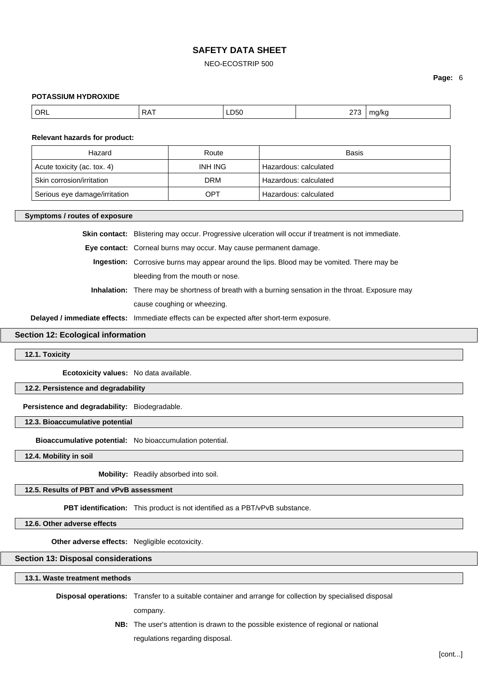### NEO-ECOSTRIP 500

### **Page:** 6

#### **POTASSIUM HYDROXIDE**

| $\overline{ORL}$ | $DA^{\pi}$<br>↘ | LD50<br>$ -$ | 220<br>.<br>$\sim$ | ma/ka<br>. . |
|------------------|-----------------|--------------|--------------------|--------------|
|------------------|-----------------|--------------|--------------------|--------------|

#### **Relevant hazards for product:**

| Hazard                        | Route          | Basis                 |
|-------------------------------|----------------|-----------------------|
| Acute toxicity (ac. tox. 4)   | <b>INH ING</b> | Hazardous: calculated |
| Skin corrosion/irritation     | DRM            | Hazardous: calculated |
| Serious eye damage/irritation | OPT            | Hazardous: calculated |

#### **Symptoms / routes of exposure**

**Skin contact:** Blistering may occur. Progressive ulceration will occur if treatment is not immediate.

**Eye contact:** Corneal burns may occur. May cause permanent damage.

- **Ingestion:** Corrosive burns may appear around the lips. Blood may be vomited. There may be bleeding from the mouth or nose.
- **Inhalation:** There may be shortness of breath with a burning sensation in the throat. Exposure may cause coughing or wheezing.

**Delayed / immediate effects:** Immediate effects can be expected after short-term exposure.

### **Section 12: Ecological information**

**12.1. Toxicity**

**Ecotoxicity values:** No data available.

#### **12.2. Persistence and degradability**

**Persistence and degradability:** Biodegradable.

### **12.3. Bioaccumulative potential**

**Bioaccumulative potential:** No bioaccumulation potential.

**12.4. Mobility in soil**

**Mobility:** Readily absorbed into soil.

**12.5. Results of PBT and vPvB assessment**

**PBT identification:** This product is not identified as a PBT/vPvB substance.

**12.6. Other adverse effects**

**Other adverse effects:** Negligible ecotoxicity.

**Section 13: Disposal considerations**

### **13.1. Waste treatment methods**

**Disposal operations:** Transfer to a suitable container and arrange for collection by specialised disposal

company.

**NB:** The user's attention is drawn to the possible existence of regional or national

regulations regarding disposal.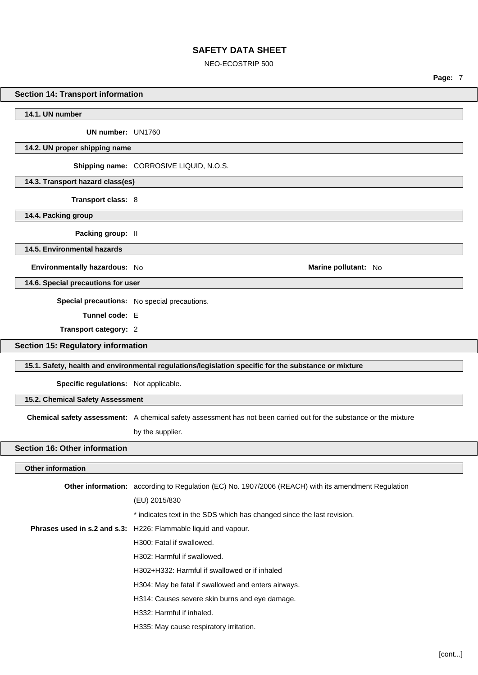### NEO-ECOSTRIP 500

**Page:** 7

### **Section 14: Transport information**

**14.1. UN number**

**UN number:** UN1760

**14.2. UN proper shipping name**

**Shipping name:** CORROSIVE LIQUID, N.O.S.

**14.3. Transport hazard class(es)**

**Transport class:** 8

**14.4. Packing group**

**Packing group:** II

**14.5. Environmental hazards**

**Environmentally hazardous:** No **Marine pollutant:** No

**14.6. Special precautions for user**

**Special precautions:** No special precautions.

**Tunnel code:** E

**Transport category:** 2

**Section 15: Regulatory information**

### **15.1. Safety, health and environmental regulations/legislation specific for the substance or mixture**

**Specific regulations:** Not applicable.

**15.2. Chemical Safety Assessment**

**Chemical safety assessment:** A chemical safety assessment has not been carried out for the substance or the mixture

by the supplier.

# **Section 16: Other information**

### **Other information**

| <b>Other information:</b> according to Regulation (EC) No. 1907/2006 (REACH) with its amendment Regulation |
|------------------------------------------------------------------------------------------------------------|
| (EU) 2015/830                                                                                              |
| * indicates text in the SDS which has changed since the last revision.                                     |
| <b>Phrases used in s.2 and s.3:</b> H226: Flammable liquid and vapour.                                     |
| H300: Fatal if swallowed.                                                                                  |
| H302: Harmful if swallowed.                                                                                |
| H302+H332: Harmful if swallowed or if inhaled                                                              |
| H304: May be fatal if swallowed and enters airways.                                                        |
| H314: Causes severe skin burns and eye damage.                                                             |
| H332: Harmful if inhaled.                                                                                  |
| H335: May cause respiratory irritation.                                                                    |